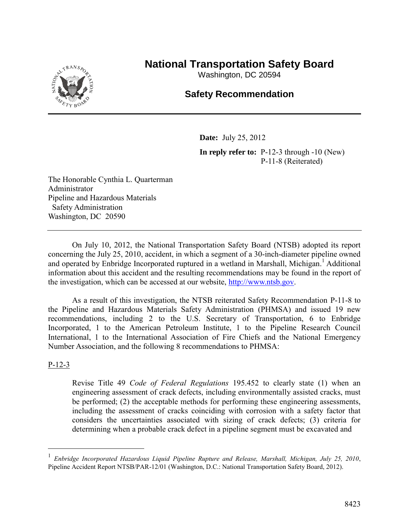#### <sup>P</sup>LU<sup>R</sup> <sup>I</sup>BU<sup>S</sup> <sup>U</sup>NU<sup>M</sup> NATRANSA<sub>CK</sub> BOARD SAFETY B N

# **National Transportation Safety Board**

Washington, DC 20594

## **Safety Recommendation**

**Date:** July 25, 2012

**In reply refer to:** P-12-3 through -10 (New) P-11-8 (Reiterated)

The Honorable Cynthia L. Quarterman Administrator Pipeline and Hazardous Materials Safety Administration Washington, DC 20590

On July 10, 2012, the National Transportation Safety Board (NTSB) adopted its report concerning the July 25, 2010, accident, in which a segment of a 30-inch-diameter pipeline owned and operated by Enbridge Incorporated ruptured in a wetland in Marshall, Michigan. <sup>1</sup> Additional information about this accident and the resulting recommendations may be found in the report of the investigation, which can be accessed at our website, [http://www.ntsb.gov.](http://www.ntsb.gov/)

As a result of this investigation, the NTSB reiterated Safety Recommendation P-11-8 to the Pipeline and Hazardous Materials Safety Administration (PHMSA) and issued 19 new recommendations, including 2 to the U.S. Secretary of Transportation, 6 to Enbridge Incorporated, 1 to the American Petroleum Institute, 1 to the Pipeline Research Council International, 1 to the International Association of Fire Chiefs and the National Emergency Number Association, and the following 8 recommendations to PHMSA:

P-12-3

 $\overline{a}$ 

Revise Title 49 *Code of Federal Regulations* 195.452 to clearly state (1) when an engineering assessment of crack defects, including environmentally assisted cracks, must be performed; (2) the acceptable methods for performing these engineering assessments, including the assessment of cracks coinciding with corrosion with a safety factor that considers the uncertainties associated with sizing of crack defects; (3) criteria for determining when a probable crack defect in a pipeline segment must be excavated and

<sup>1</sup> *Enbridge Incorporated Hazardous Liquid Pipeline Rupture and Release, Marshall, Michigan, July 25, 2010*, Pipeline Accident Report NTSB/PAR-12/01 (Washington, D.C.: National Transportation Safety Board, 2012).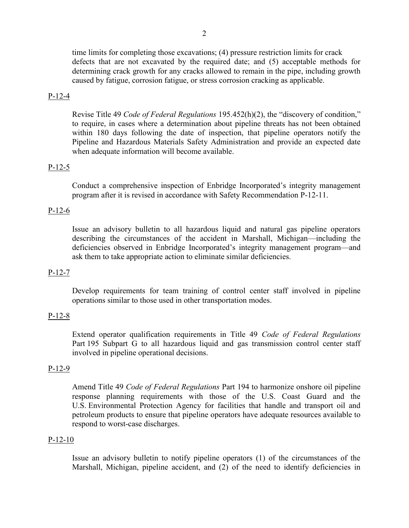time limits for completing those excavations; (4) pressure restriction limits for crack defects that are not excavated by the required date; and (5) acceptable methods for determining crack growth for any cracks allowed to remain in the pipe, including growth caused by fatigue, corrosion fatigue, or stress corrosion cracking as applicable.

### P-12-4

Revise Title 49 *Code of Federal Regulations* 195.452(h)(2), the "discovery of condition," to require, in cases where a determination about pipeline threats has not been obtained within 180 days following the date of inspection, that pipeline operators notify the Pipeline and Hazardous Materials Safety Administration and provide an expected date when adequate information will become available.

### P-12-5

Conduct a comprehensive inspection of Enbridge Incorporated's integrity management program after it is revised in accordance with Safety Recommendation P-12-11.

### P-12-6

Issue an advisory bulletin to all hazardous liquid and natural gas pipeline operators describing the circumstances of the accident in Marshall, Michigan—including the deficiencies observed in Enbridge Incorporated's integrity management program—and ask them to take appropriate action to eliminate similar deficiencies.

#### P-12-7

Develop requirements for team training of control center staff involved in pipeline operations similar to those used in other transportation modes.

#### P-12-8

Extend operator qualification requirements in Title 49 *Code of Federal Regulations*  Part 195 Subpart G to all hazardous liquid and gas transmission control center staff involved in pipeline operational decisions.

#### P-12-9

Amend Title 49 *Code of Federal Regulations* Part 194 to harmonize onshore oil pipeline response planning requirements with those of the U.S. Coast Guard and the U.S. Environmental Protection Agency for facilities that handle and transport oil and petroleum products to ensure that pipeline operators have adequate resources available to respond to worst-case discharges.

#### P-12-10

Issue an advisory bulletin to notify pipeline operators (1) of the circumstances of the Marshall, Michigan, pipeline accident, and (2) of the need to identify deficiencies in